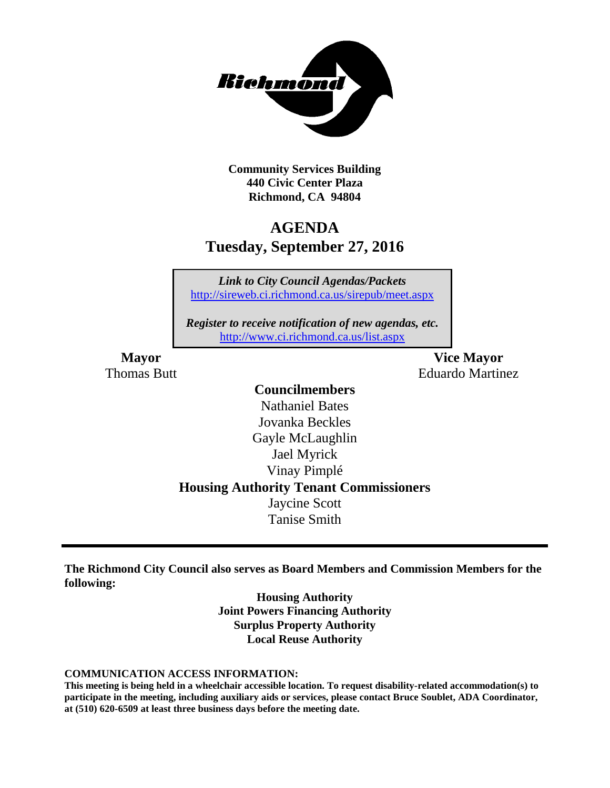

**Community Services Building 440 Civic Center Plaza Richmond, CA 94804**

## **AGENDA Tuesday, September 27, 2016**

*Link to City Council Agendas/Packets* <http://sireweb.ci.richmond.ca.us/sirepub/meet.aspx>

*Register to receive notification of new agendas, etc.* <http://www.ci.richmond.ca.us/list.aspx>

**Mayor Vice Mayor** Thomas Butt **Eduardo Martinez** 

# **Councilmembers**

Nathaniel Bates Jovanka Beckles Gayle McLaughlin Jael Myrick Vinay Pimplé **Housing Authority Tenant Commissioners** Jaycine Scott Tanise Smith

**The Richmond City Council also serves as Board Members and Commission Members for the following:**

> **Housing Authority Joint Powers Financing Authority Surplus Property Authority Local Reuse Authority**

#### **COMMUNICATION ACCESS INFORMATION:**

**This meeting is being held in a wheelchair accessible location. To request disability-related accommodation(s) to participate in the meeting, including auxiliary aids or services, please contact Bruce Soublet, ADA Coordinator, at (510) 620-6509 at least three business days before the meeting date.**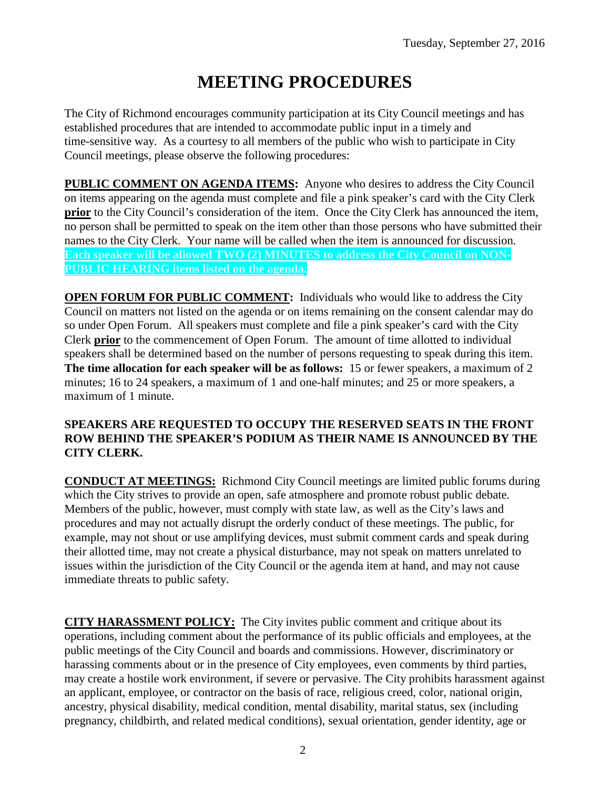## **MEETING PROCEDURES**

The City of Richmond encourages community participation at its City Council meetings and has established procedures that are intended to accommodate public input in a timely and time-sensitive way. As a courtesy to all members of the public who wish to participate in City Council meetings, please observe the following procedures:

**PUBLIC COMMENT ON AGENDA ITEMS:** Anyone who desires to address the City Council on items appearing on the agenda must complete and file a pink speaker's card with the City Clerk **prior** to the City Council's consideration of the item. Once the City Clerk has announced the item, no person shall be permitted to speak on the item other than those persons who have submitted their names to the City Clerk. Your name will be called when the item is announced for discussion. **Each speaker will be allowed TWO (2) MINUTES to address the City Council on NON-PUBLIC HEARING items listed on the agenda.**

**OPEN FORUM FOR PUBLIC COMMENT:** Individuals who would like to address the City Council on matters not listed on the agenda or on items remaining on the consent calendar may do so under Open Forum. All speakers must complete and file a pink speaker's card with the City Clerk **prior** to the commencement of Open Forum. The amount of time allotted to individual speakers shall be determined based on the number of persons requesting to speak during this item. **The time allocation for each speaker will be as follows:** 15 or fewer speakers, a maximum of 2 minutes; 16 to 24 speakers, a maximum of 1 and one-half minutes; and 25 or more speakers, a maximum of 1 minute.

#### **SPEAKERS ARE REQUESTED TO OCCUPY THE RESERVED SEATS IN THE FRONT ROW BEHIND THE SPEAKER'S PODIUM AS THEIR NAME IS ANNOUNCED BY THE CITY CLERK.**

**CONDUCT AT MEETINGS:** Richmond City Council meetings are limited public forums during which the City strives to provide an open, safe atmosphere and promote robust public debate. Members of the public, however, must comply with state law, as well as the City's laws and procedures and may not actually disrupt the orderly conduct of these meetings. The public, for example, may not shout or use amplifying devices, must submit comment cards and speak during their allotted time, may not create a physical disturbance, may not speak on matters unrelated to issues within the jurisdiction of the City Council or the agenda item at hand, and may not cause immediate threats to public safety.

**CITY HARASSMENT POLICY:** The City invites public comment and critique about its operations, including comment about the performance of its public officials and employees, at the public meetings of the City Council and boards and commissions. However, discriminatory or harassing comments about or in the presence of City employees, even comments by third parties, may create a hostile work environment, if severe or pervasive. The City prohibits harassment against an applicant, employee, or contractor on the basis of race, religious creed, color, national origin, ancestry, physical disability, medical condition, mental disability, marital status, sex (including pregnancy, childbirth, and related medical conditions), sexual orientation, gender identity, age or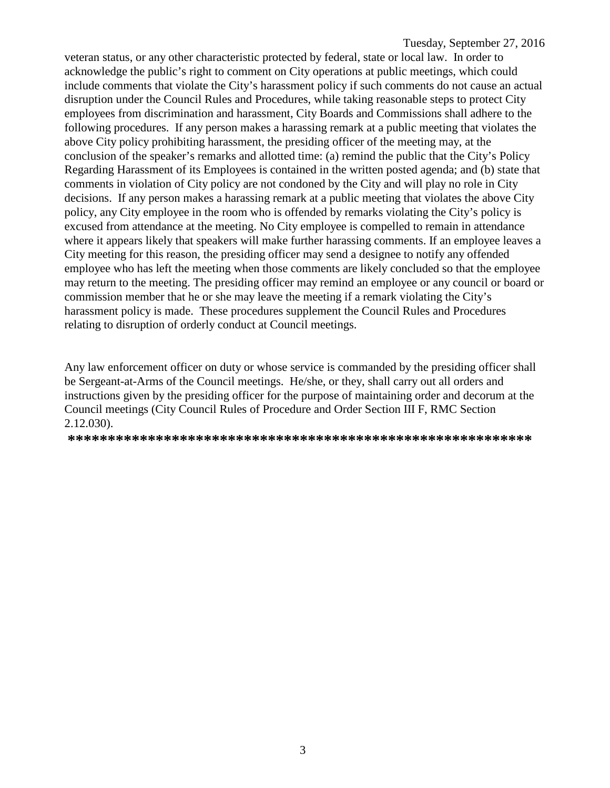veteran status, or any other characteristic protected by federal, state or local law. In order to acknowledge the public's right to comment on City operations at public meetings, which could include comments that violate the City's harassment policy if such comments do not cause an actual disruption under the Council Rules and Procedures, while taking reasonable steps to protect City employees from discrimination and harassment, City Boards and Commissions shall adhere to the following procedures. If any person makes a harassing remark at a public meeting that violates the above City policy prohibiting harassment, the presiding officer of the meeting may, at the conclusion of the speaker's remarks and allotted time: (a) remind the public that the City's Policy Regarding Harassment of its Employees is contained in the written posted agenda; and (b) state that comments in violation of City policy are not condoned by the City and will play no role in City decisions. If any person makes a harassing remark at a public meeting that violates the above City policy, any City employee in the room who is offended by remarks violating the City's policy is excused from attendance at the meeting. No City employee is compelled to remain in attendance where it appears likely that speakers will make further harassing comments. If an employee leaves a City meeting for this reason, the presiding officer may send a designee to notify any offended employee who has left the meeting when those comments are likely concluded so that the employee may return to the meeting. The presiding officer may remind an employee or any council or board or commission member that he or she may leave the meeting if a remark violating the City's harassment policy is made. These procedures supplement the Council Rules and Procedures relating to disruption of orderly conduct at Council meetings.

Any law enforcement officer on duty or whose service is commanded by the presiding officer shall be Sergeant-at-Arms of the Council meetings. He/she, or they, shall carry out all orders and instructions given by the presiding officer for the purpose of maintaining order and decorum at the Council meetings (City Council Rules of Procedure and Order Section III F, RMC Section 2.12.030).

**\*\*\*\*\*\*\*\*\*\*\*\*\*\*\*\*\*\*\*\*\*\*\*\*\*\*\*\*\*\*\*\*\*\*\*\*\*\*\*\*\*\*\*\*\*\*\*\*\*\*\*\*\*\*\*\*\*\***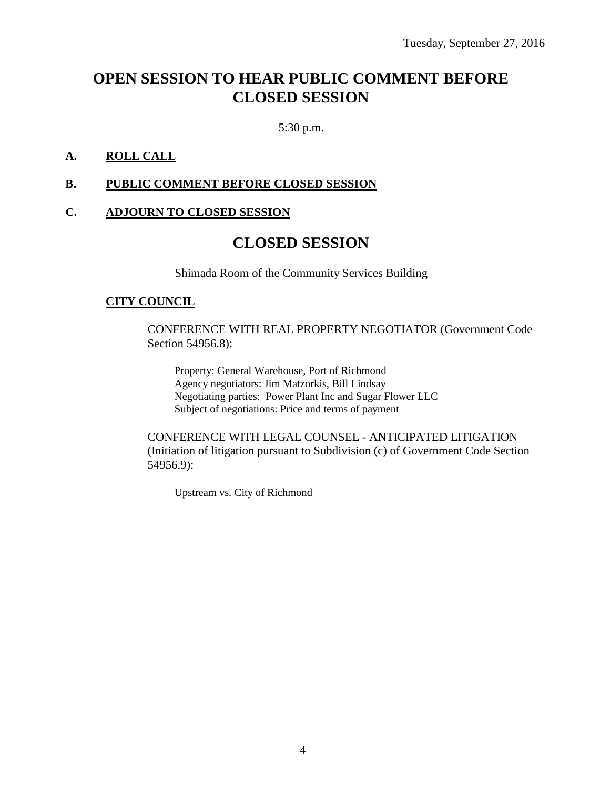## **OPEN SESSION TO HEAR PUBLIC COMMENT BEFORE CLOSED SESSION**

5:30 p.m.

#### **A. ROLL CALL**

#### **B. PUBLIC COMMENT BEFORE CLOSED SESSION**

#### **C. ADJOURN TO CLOSED SESSION**

### **CLOSED SESSION**

Shimada Room of the Community Services Building

#### **CITY COUNCIL**

CONFERENCE WITH REAL PROPERTY NEGOTIATOR (Government Code Section 54956.8):

Property: General Warehouse, Port of Richmond Agency negotiators: Jim Matzorkis, Bill Lindsay Negotiating parties: Power Plant Inc and Sugar Flower LLC Subject of negotiations: Price and terms of payment

CONFERENCE WITH LEGAL COUNSEL - ANTICIPATED LITIGATION (Initiation of litigation pursuant to Subdivision (c) of Government Code Section 54956.9):

Upstream vs. City of Richmond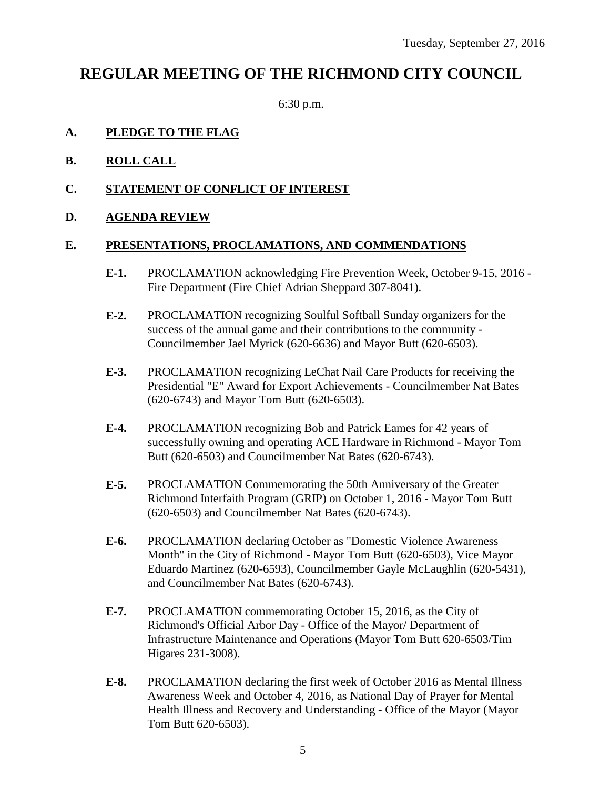### **REGULAR MEETING OF THE RICHMOND CITY COUNCIL**

6:30 p.m.

#### **A. PLEDGE TO THE FLAG**

- **B. ROLL CALL**
- **C. STATEMENT OF CONFLICT OF INTEREST**
- **D. AGENDA REVIEW**

#### **E. PRESENTATIONS, PROCLAMATIONS, AND COMMENDATIONS**

- **E-1.** PROCLAMATION acknowledging Fire Prevention Week, October 9-15, 2016 Fire Department (Fire Chief Adrian Sheppard 307-8041).
- **E-2.** PROCLAMATION recognizing Soulful Softball Sunday organizers for the success of the annual game and their contributions to the community - Councilmember Jael Myrick (620-6636) and Mayor Butt (620-6503).
- **E-3.** PROCLAMATION recognizing LeChat Nail Care Products for receiving the Presidential "E" Award for Export Achievements - Councilmember Nat Bates (620-6743) and Mayor Tom Butt (620-6503).
- **E-4.** PROCLAMATION recognizing Bob and Patrick Eames for 42 years of successfully owning and operating ACE Hardware in Richmond - Mayor Tom Butt (620-6503) and Councilmember Nat Bates (620-6743).
- **E-5.** PROCLAMATION Commemorating the 50th Anniversary of the Greater Richmond Interfaith Program (GRIP) on October 1, 2016 - Mayor Tom Butt (620-6503) and Councilmember Nat Bates (620-6743).
- **E-6.** PROCLAMATION declaring October as "Domestic Violence Awareness Month" in the City of Richmond - Mayor Tom Butt (620-6503), Vice Mayor Eduardo Martinez (620-6593), Councilmember Gayle McLaughlin (620-5431), and Councilmember Nat Bates (620-6743).
- **E-7.** PROCLAMATION commemorating October 15, 2016, as the City of Richmond's Official Arbor Day - Office of the Mayor/ Department of Infrastructure Maintenance and Operations (Mayor Tom Butt 620-6503/Tim Higares 231-3008).
- **E-8.** PROCLAMATION declaring the first week of October 2016 as Mental Illness Awareness Week and October 4, 2016, as National Day of Prayer for Mental Health Illness and Recovery and Understanding - Office of the Mayor (Mayor Tom Butt 620-6503).